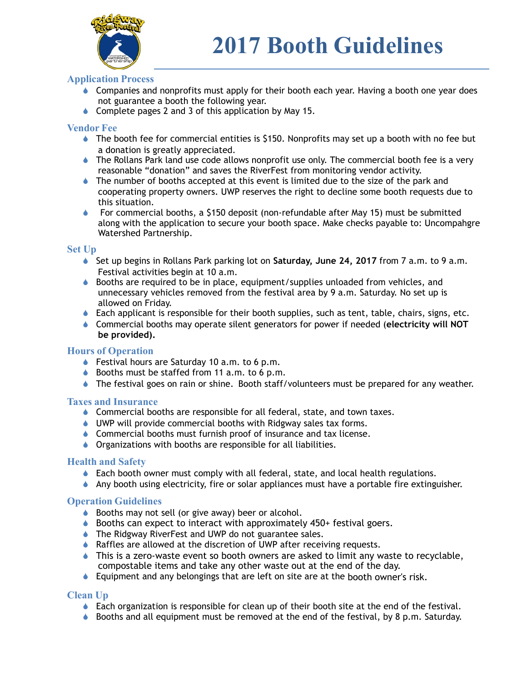

# **Application Process**

- Companies and nonprofits must apply for their booth each year. Having a booth one year does not guarantee a booth the following year.
- ♦ Complete pages 2 and 3 of this application by May 15.

#### **Vendor Fee**

- $\bullet$  The booth fee for commercial entities is \$150. Nonprofits may set up a booth with no fee but a donation is greatly appreciated.
- ! The Rollans Park land use code allows nonprofit use only. The commercial booth fee is a very reasonable "donation" and saves the RiverFest from monitoring vendor activity.
- $\bullet$  The number of booths accepted at this event is limited due to the size of the park and cooperating property owners. UWP reserves the right to decline some booth requests due to this situation.
- ! For commercial booths, a \$150 deposit (non-refundable after May 15) must be submitted along with the application to secure your booth space. Make checks payable to: Uncompahgre Watershed Partnership.

#### **Set Up**

- ! Set up begins in Rollans Park parking lot on **Saturday, June 24, 2017** from 7 a.m. to 9 a.m. Festival activities begin at 10 a.m.
- $\bullet$  Booths are required to be in place, equipment/supplies unloaded from vehicles, and unnecessary vehicles removed from the festival area by 9 a.m. Saturday. No set up is allowed on Friday.
- $\bullet$  Each applicant is responsible for their booth supplies, such as tent, table, chairs, signs, etc.
- ! Commercial booths may operate silent generators for power if needed (**electricity will NOT be provided).**

## **Hours of Operation**

- $\bullet$  Festival hours are Saturday 10 a.m. to 6 p.m.
- $\bullet$  Booths must be staffed from 11 a.m. to 6 p.m.
- $\bullet$  The festival goes on rain or shine. Booth staff/volunteers must be prepared for any weather.

#### **Taxes and Insurance**

- $\bullet$  Commercial booths are responsible for all federal, state, and town taxes.
- ♦ UWP will provide commercial booths with Ridgway sales tax forms.
- ♦ Commercial booths must furnish proof of insurance and tax license.
- **I** Organizations with booths are responsible for all liabilities.

## **Health and Safety**

- $\bullet$  Each booth owner must comply with all federal, state, and local health regulations.
- $\bullet$  Any booth using electricity, fire or solar appliances must have a portable fire extinguisher.

#### **Operation Guidelines**

- ♦ Booths may not sell (or give away) beer or alcohol.
- ♦ Booths can expect to interact with approximately 450+ festival goers.
- ♦ The Ridgway RiverFest and UWP do not guarantee sales.
- ♦ Raffles are allowed at the discretion of UWP after receiving requests.
- $\bullet$  This is a zero-waste event so booth owners are asked to limit any waste to recyclable, compostable items and take any other waste out at the end of the day.
- $\bullet$  Equipment and any belongings that are left on site are at the booth owner's risk.

## **Clean Up**

- $\bullet$  Each organization is responsible for clean up of their booth site at the end of the festival.
- $\bullet$  Booths and all equipment must be removed at the end of the festival, by 8 p.m. Saturday.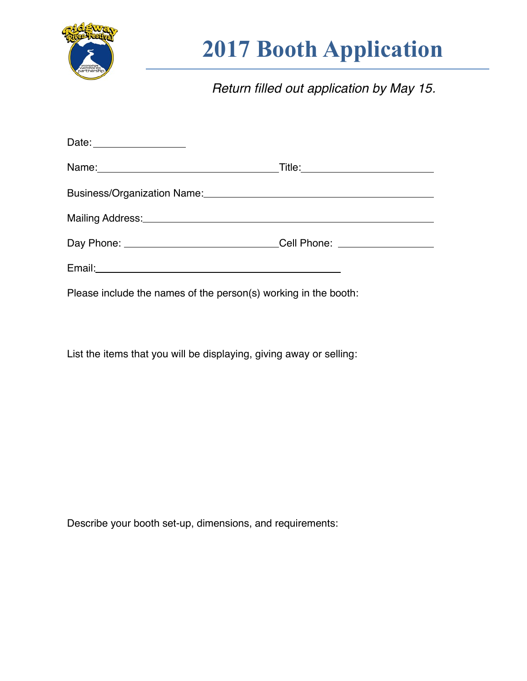

# **2017 Booth Application**

*Return filled out application by May 15.*

| Business/Organization Name: 2008 and 2009 and 2009 and 2009 and 2009 and 2009 and 2009 and 2009 and 2009 and 20 |  |  |
|-----------------------------------------------------------------------------------------------------------------|--|--|
| Mailing Address: Manual Marian Communication of the Mailing Address:                                            |  |  |
| Day Phone: _______________________________Cell Phone: __________________________                                |  |  |
|                                                                                                                 |  |  |
| Please include the names of the person(s) working in the booth:                                                 |  |  |

List the items that you will be displaying, giving away or selling:

Describe your booth set-up, dimensions, and requirements: